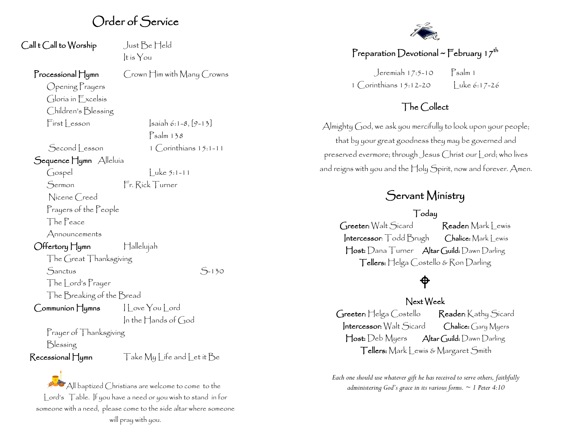## Order of Service

| Call t Call to Worship           | Just Be Held                |
|----------------------------------|-----------------------------|
|                                  | It is $\gamma$ ou           |
| $\Gamma$ rocessional $\prod$ ymn | Crown Him with Many Crowns  |
| Opening Prayers                  |                             |
| Gloria in Excelsis               |                             |
| Children's Blessing              |                             |
| $First$ Lesson                   | $ sailab 6:1-8, [9-13]$     |
|                                  | $P$ salm 138                |
| Second Lesson                    | $1$ $Corinthians$ $15:1-11$ |
| Sequence Hymn Alleluía           |                             |
| Gospel                           | uke $5:1 - 11$              |
| Sermon                           | Fr. Rick Turner             |
| Nicene Creed                     |                             |
| Prayers of the People            |                             |
| The Peace                        |                             |
| Announcements                    |                             |
| Offertory Hymn                   | Hallelujah                  |
| The Great Thanksgiving           |                             |
|                                  |                             |

 $S<sub>-130</sub>$ 

The Lord's Prayer

The Breaking of the Bread

Communion Hymns | Love You Lord In the Hands of  $God$ 

Prayer of Thanksgiving Blessing

 $\mathsf{Recessional}\_\textsf{U}$  Take  $\mathsf{Mg}\_\textsf{if}$  and  $\mathsf{Let}$  it  $\mathsf{Be}$ 

All baptized Christians are welcome to come to the Lord's Table. If you have a need or you wish to stand in for someone with a need, please come to the side altar where someone will pray with you.



### Preparation Devotional ~ February 17<sup>th</sup>

 $Jeremiah 17:5-10$  Psalm 1 1 Corinthians 15:12-20 Luke 6:17-26

### The Collect

Almighty God, we ask you mercifully to look upon your people; that by your great goodness they may be governed and preserved evermore; through Jesus Christ our Lord; who lives and reigns with you and the Holy Spirit, now and forever. Amen.

# Servant Ministry

#### Today

Greeter: Walt Sicard Reader: Mark Lewis Intercessor: Todd Brugh Chalice: Mark Lewis Host: Dana Turner Altar Guild: Dawn Darling Tellers: Helga Costello & Ron Darling

# ♦

### Next Week

Greeter: Helga Costello Reader: Kathy Sicard Intercessor: Walt Sicard Chalice: Gary Myers Host: Deb Myers Altar Guild: Dawn Darling Tellers: Mark Lewis & Margaret Smith

*Each one should use whatever gift he has received to serve others, faithfully administering God's grace in its various forms. ~ 1 Peter 4:10*